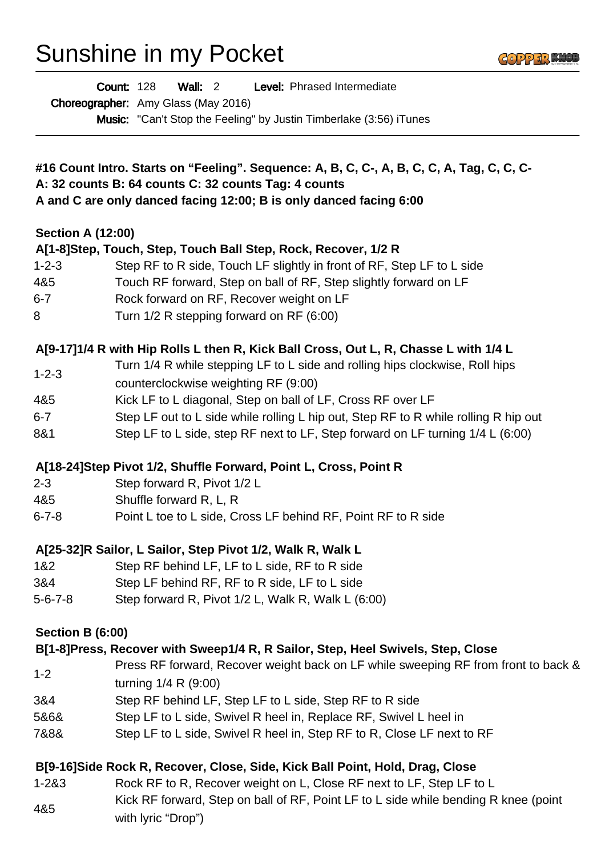# Sunshine in my Pocket

| <b>Count: 128</b>                          | Wall: $2$ | <b>Level:</b> Phrased Intermediate                                        |
|--------------------------------------------|-----------|---------------------------------------------------------------------------|
| <b>Choreographer:</b> Amy Glass (May 2016) |           |                                                                           |
|                                            |           | <b>Music:</b> "Can't Stop the Feeling" by Justin Timberlake (3:56) iTunes |

#### **#16 Count Intro. Starts on "Feeling". Sequence: A, B, C, C-, A, B, C, C, A, Tag, C, C, C-A: 32 counts B: 64 counts C: 32 counts Tag: 4 counts A and C are only danced facing 12:00; B is only danced facing 6:00**

#### **Section A (12:00)**

#### **A[1-8]Step, Touch, Step, Touch Ball Step, Rock, Recover, 1/2 R**

- 1-2-3 Step RF to R side, Touch LF slightly in front of RF, Step LF to L side
- 4&5 Touch RF forward, Step on ball of RF, Step slightly forward on LF
- 6-7 Rock forward on RF, Recover weight on LF
- 8 Turn 1/2 R stepping forward on RF (6:00)

#### **A[9-17]1/4 R with Hip Rolls L then R, Kick Ball Cross, Out L, R, Chasse L with 1/4 L**

- 1-2-3 Turn 1/4 R while stepping LF to L side and rolling hips clockwise, Roll hips
- counterclockwise weighting RF (9:00)
- 4&5 Kick LF to L diagonal, Step on ball of LF, Cross RF over LF
- 6-7 Step LF out to L side while rolling L hip out, Step RF to R while rolling R hip out
- 8&1 Step LF to L side, step RF next to LF, Step forward on LF turning 1/4 L (6:00)

#### **A[18-24]Step Pivot 1/2, Shuffle Forward, Point L, Cross, Point R**

- 2-3 Step forward R, Pivot 1/2 L
- 4&5 Shuffle forward R, L, R
- 6-7-8 Point L toe to L side, Cross LF behind RF, Point RF to R side

#### **A[25-32]R Sailor, L Sailor, Step Pivot 1/2, Walk R, Walk L**

- 1&2 Step RF behind LF, LF to L side, RF to R side
- 3&4 Step LF behind RF, RF to R side, LF to L side
- 5-6-7-8 Step forward R, Pivot 1/2 L, Walk R, Walk L (6:00)

#### **Section B (6:00)**

#### **B[1-8]Press, Recover with Sweep1/4 R, R Sailor, Step, Heel Swivels, Step, Close**

- 1-2 Press RF forward, Recover weight back on LF while sweeping RF from front to back & turning 1/4 R (9:00)
- 3&4 Step RF behind LF, Step LF to L side, Step RF to R side
- 5&6& Step LF to L side, Swivel R heel in, Replace RF, Swivel L heel in
- 7&8& Step LF to L side, Swivel R heel in, Step RF to R, Close LF next to RF

#### **B[9-16]Side Rock R, Recover, Close, Side, Kick Ball Point, Hold, Drag, Close**

1-2&3 Rock RF to R, Recover weight on L, Close RF next to LF, Step LF to L 4&5 Kick RF forward, Step on ball of RF, Point LF to L side while bending R knee (point with lyric "Drop")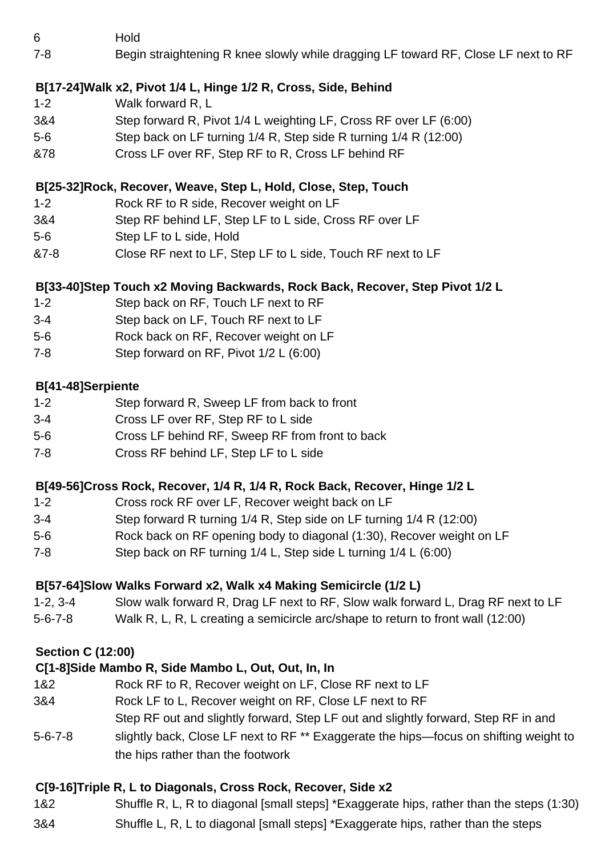6 Hold

7-8 Begin straightening R knee slowly while dragging LF toward RF, Close LF next to RF

### **B[17-24]Walk x2, Pivot 1/4 L, Hinge 1/2 R, Cross, Side, Behind**

- 1-2 Walk forward R, L
- 3&4 Step forward R, Pivot 1/4 L weighting LF, Cross RF over LF (6:00)
- 5-6 Step back on LF turning 1/4 R, Step side R turning 1/4 R (12:00)
- &78 Cross LF over RF, Step RF to R, Cross LF behind RF

### **B[25-32]Rock, Recover, Weave, Step L, Hold, Close, Step, Touch**

- 1-2 Rock RF to R side, Recover weight on LF
- 3&4 Step RF behind LF, Step LF to L side, Cross RF over LF
- 5-6 Step LF to L side, Hold
- &7-8 Close RF next to LF, Step LF to L side, Touch RF next to LF

# **B[33-40]Step Touch x2 Moving Backwards, Rock Back, Recover, Step Pivot 1/2 L**

- 1-2 Step back on RF, Touch LF next to RF
- 3-4 Step back on LF, Touch RF next to LF
- 5-6 Rock back on RF, Recover weight on LF
- 7-8 Step forward on RF, Pivot 1/2 L (6:00)

### **B[41-48]Serpiente**

- 1-2 Step forward R, Sweep LF from back to front
- 3-4 Cross LF over RF, Step RF to L side
- 5-6 Cross LF behind RF, Sweep RF from front to back
- 7-8 Cross RF behind LF, Step LF to L side

### **B[49-56]Cross Rock, Recover, 1/4 R, 1/4 R, Rock Back, Recover, Hinge 1/2 L**

- 1-2 Cross rock RF over LF, Recover weight back on LF
- 3-4 Step forward R turning 1/4 R, Step side on LF turning 1/4 R (12:00)
- 5-6 Rock back on RF opening body to diagonal (1:30), Recover weight on LF
- 7-8 Step back on RF turning 1/4 L, Step side L turning 1/4 L (6:00)

## **B[57-64]Slow Walks Forward x2, Walk x4 Making Semicircle (1/2 L)**

- 1-2, 3-4 Slow walk forward R, Drag LF next to RF, Slow walk forward L, Drag RF next to LF
- 5-6-7-8 Walk R, L, R, L creating a semicircle arc/shape to return to front wall (12:00)

### **Section C (12:00)**

# **C[1-8]Side Mambo R, Side Mambo L, Out, Out, In, In**

- 1&2 Rock RF to R, Recover weight on LF, Close RF next to LF
- 3&4 Rock LF to L, Recover weight on RF, Close LF next to RF
	- Step RF out and slightly forward, Step LF out and slightly forward, Step RF in and
- 5-6-7-8 slightly back, Close LF next to RF \*\* Exaggerate the hips—focus on shifting weight to the hips rather than the footwork

### **C[9-16]Triple R, L to Diagonals, Cross Rock, Recover, Side x2**

- 1&2 Shuffle R, L, R to diagonal [small steps] \*Exaggerate hips, rather than the steps (1:30)
- 3&4 Shuffle L, R, L to diagonal [small steps] \*Exaggerate hips, rather than the steps